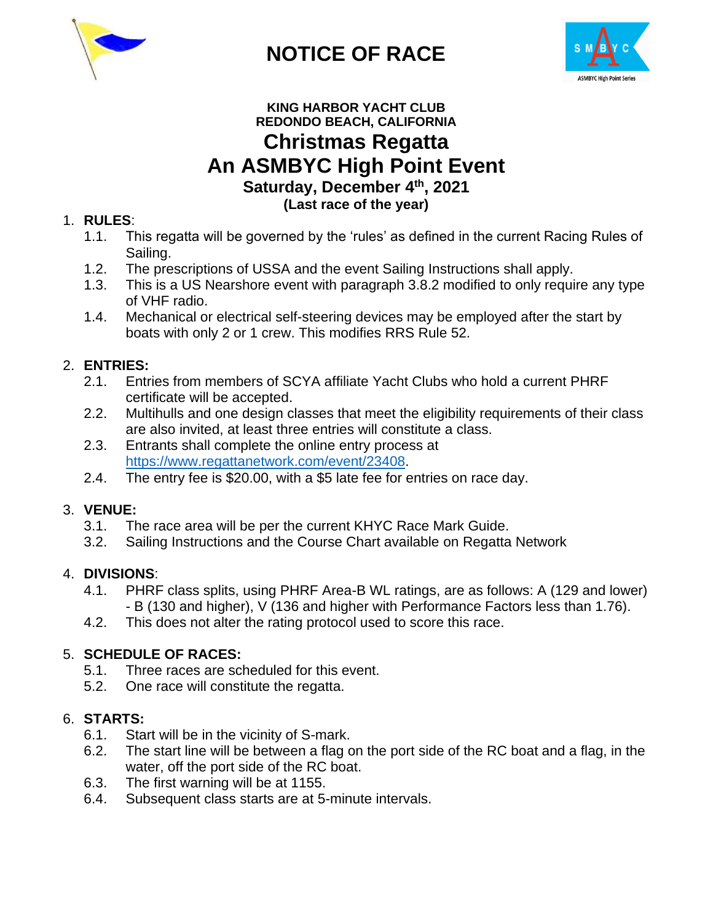

**NOTICE OF RACE**



# **KING HARBOR YACHT CLUB REDONDO BEACH, CALIFORNIA Christmas Regatta An ASMBYC High Point Event Saturday, December 4 th , 2021 (Last race of the year)**

# 1. **RULES**:

- 1.1. This regatta will be governed by the 'rules' as defined in the current Racing Rules of Sailing.
- 1.2. The prescriptions of USSA and the event Sailing Instructions shall apply.
- 1.3. This is a US Nearshore event with paragraph 3.8.2 modified to only require any type of VHF radio.
- 1.4. Mechanical or electrical self-steering devices may be employed after the start by boats with only 2 or 1 crew. This modifies RRS Rule 52.

# 2. **ENTRIES:**

- 2.1. Entries from members of SCYA affiliate Yacht Clubs who hold a current PHRF certificate will be accepted.
- 2.2. Multihulls and one design classes that meet the eligibility requirements of their class are also invited, at least three entries will constitute a class.
- 2.3. Entrants shall complete the online entry process at [https://www.regattanetwork.com/event/23408.](https://www.regattanetwork.com/event/23408)
- 2.4. The entry fee is \$20.00, with a \$5 late fee for entries on race day.

# 3. **VENUE:**

- 3.1. The race area will be per the current KHYC Race Mark Guide.
- 3.2. Sailing Instructions and the Course Chart available on Regatta Network

# 4. **DIVISIONS**:

- 4.1. PHRF class splits, using PHRF Area-B WL ratings, are as follows: A (129 and lower) - B (130 and higher), V (136 and higher with Performance Factors less than 1.76).
- 4.2. This does not alter the rating protocol used to score this race.

# 5. **SCHEDULE OF RACES:**

- 5.1. Three races are scheduled for this event.
- 5.2. One race will constitute the regatta.

# 6. **STARTS:**

- 6.1. Start will be in the vicinity of S-mark.
- 6.2. The start line will be between a flag on the port side of the RC boat and a flag, in the water, off the port side of the RC boat.
- 6.3. The first warning will be at 1155.
- 6.4. Subsequent class starts are at 5-minute intervals.